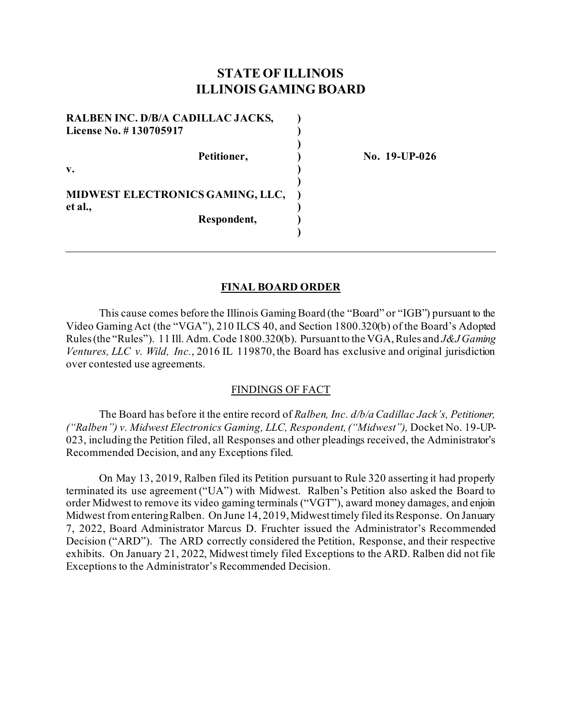# **STATE OF ILLINOIS ILLINOIS GAMING BOARD**

**)**

| License No. #130705917 | RALBEN INC. D/B/A CADILLAC JACKS,       |  |
|------------------------|-----------------------------------------|--|
|                        | Petitioner,                             |  |
| $\mathbf{v}$ .         |                                         |  |
|                        | <b>MIDWEST ELECTRONICS GAMING, LLC,</b> |  |
| et al.,                | Respondent,                             |  |

**Petitioner, ) No. 19-UP-026**

#### **FINAL BOARD ORDER**

This cause comes before the Illinois Gaming Board (the "Board" or "IGB") pursuant to the Video Gaming Act (the "VGA"), 210 ILCS 40, and Section 1800.320(b) of the Board's Adopted Rules (the "Rules"). 11 Ill. Adm. Code 1800.320(b). Pursuant to the VGA, Rules and *J&J Gaming Ventures, LLC v. Wild, Inc.*, 2016 IL 119870, the Board has exclusive and original jurisdiction over contested use agreements.

#### FINDINGS OF FACT

The Board has before it the entire record of *Ralben, Inc. d/b/a Cadillac Jack's, Petitioner, ("Ralben") v. Midwest Electronics Gaming, LLC, Respondent, ("Midwest"),* Docket No. 19-UP-023, including the Petition filed, all Responses and other pleadings received, the Administrator's Recommended Decision, and any Exceptions filed.

On May 13, 2019, Ralben filed its Petition pursuant to Rule 320 asserting it had properly terminated its use agreement ("UA") with Midwest. Ralben's Petition also asked the Board to order Midwest to remove its video gaming terminals ("VGT"), award money damages, and enjoin Midwest from entering Ralben. On June 14, 2019, Midwesttimely filed its Response. On January 7, 2022, Board Administrator Marcus D. Fruchter issued the Administrator's Recommended Decision ("ARD"). The ARD correctly considered the Petition, Response, and their respective exhibits. On January 21, 2022, Midwest timely filed Exceptions to the ARD. Ralben did not file Exceptions to the Administrator's Recommended Decision.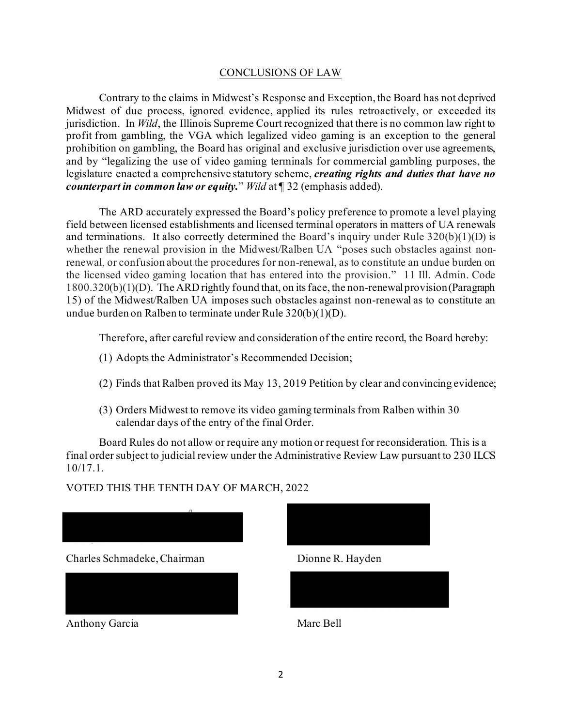#### CONCLUSIONS OF LAW

Contrary to the claims in Midwest's Response and Exception, the Board has not deprived Midwest of due process, ignored evidence, applied its rules retroactively, or exceeded its jurisdiction. In *Wild*, the Illinois Supreme Court recognized that there is no common law right to profit from gambling, the VGA which legalized video gaming is an exception to the general prohibition on gambling, the Board has original and exclusive jurisdiction over use agreements, and by "legalizing the use of video gaming terminals for commercial gambling purposes, the legislature enacted a comprehensive statutory scheme, *creating rights and duties that have no counterpart in common law or equity.*" *Wild* at ¶ 32 (emphasis added).

The ARD accurately expressed the Board's policy preference to promote a level playing field between licensed establishments and licensed terminal operators in matters of UA renewals and terminations. It also correctly determined the Board's inquiry under Rule  $320(b)(1)(D)$  is whether the renewal provision in the Midwest/Ralben UA "poses such obstacles against nonrenewal, or confusion about the procedures for non-renewal, as to constitute an undue burden on the licensed video gaming location that has entered into the provision." 11 Ill. Admin. Code 1800.320(b)(1)(D). The ARD rightly found that, on its face, the non-renewal provision (Paragraph 15) of the Midwest/Ralben UA imposes such obstacles against non-renewal as to constitute an undue burden on Ralben to terminate under Rule 320(b)(1)(D).

Therefore, after careful review and consideration of the entire record, the Board hereby:

- (1) Adopts the Administrator's Recommended Decision;
- (2) Finds that Ralben proved its May 13, 2019 Petition by clear and convincing evidence;
- (3) Orders Midwest to remove its video gaming terminals from Ralben within 30 calendar days of the entry of the final Order.

Board Rules do not allow or require any motion or request for reconsideration. This is a final order subject to judicial review under the Administrative Review Law pursuant to 230 ILCS 10/17.1.

### VOTED THIS THE TENTH DAY OF MARCH, 2022





Anthony Garcia Marc Bell

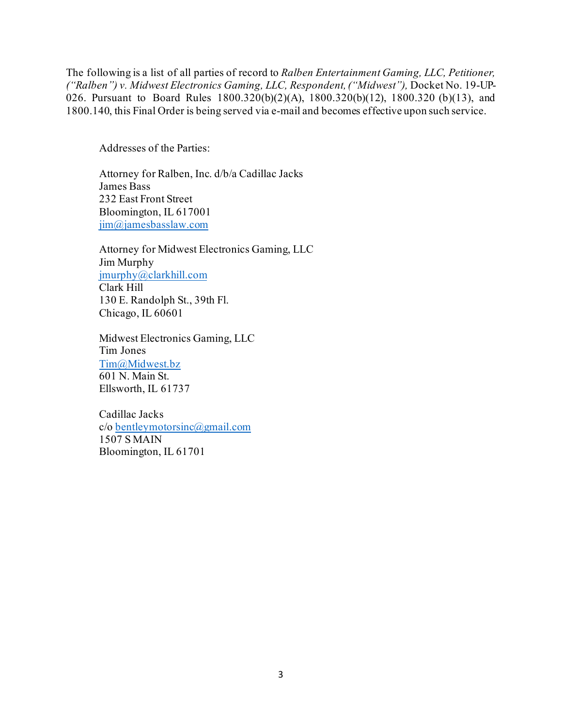The following is a list of all parties of record to *Ralben Entertainment Gaming, LLC, Petitioner, ("Ralben") v. Midwest Electronics Gaming, LLC, Respondent, ("Midwest"),* Docket No. 19-UP-026. Pursuant to Board Rules 1800.320(b)(2)(A), 1800.320(b)(12), 1800.320 (b)(13), and 1800.140, this Final Order is being served via e-mail and becomes effective upon such service.

Addresses of the Parties:

Attorney for Ralben, Inc. d/b/a Cadillac Jacks James Bass 232 East Front Street Bloomington, IL 617001 [jim@jamesbasslaw.com](mailto:jim@jamesbasslaw.com)

Attorney for Midwest Electronics Gaming, LLC Jim Murphy [jmurphy@clarkhill.com](mailto:jmurphy@clarkhill.com) Clark Hill 130 E. Randolph St., 39th Fl. Chicago, IL 60601

Midwest Electronics Gaming, LLC Tim Jones [Tim@Midwest.bz](mailto:Tim@Midwest.bz) 601 N. Main St. Ellsworth, IL 61737

Cadillac Jacks c/o [bentleymotorsinc@gmail.com](mailto:bentleymotorsinc@gmail.com) 1507 S MAIN Bloomington, IL 61701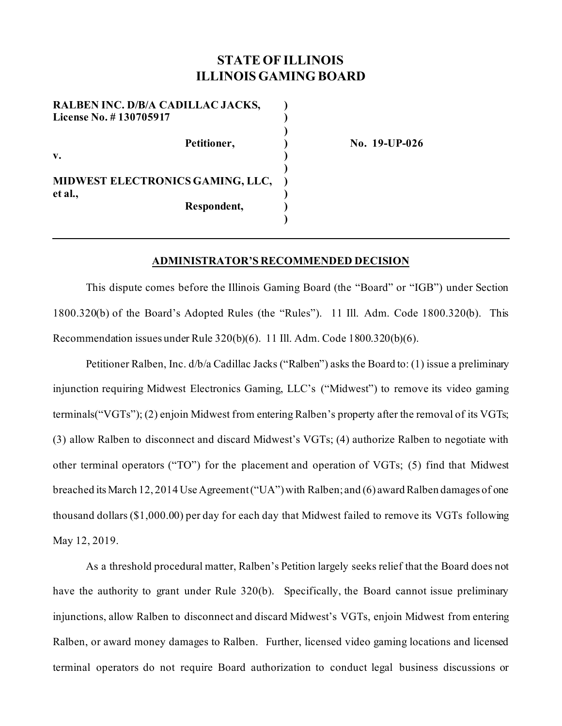## **STATE OF ILLINOIS ILLINOIS GAMING BOARD**

**)** 

**)** 

**)** 

**RALBEN INC. D/B/A CADILLAC JACKS, )**  License No. # 130705917 **but also have a set of the set of the set of the set of the set of the set of the set of the set of the set of the set of the set of the set of the set of the set of the set of the set of the set o** Petitioner, **19-UP-026 No. 19-UP-026 v. ) MIDWEST ELECTRONICS GAMING, LLC, ) et al., ) Respondent, )** 

#### **ADMINISTRATOR'S RECOMMENDED DECISION**

This dispute comes before the Illinois Gaming Board (the "Board" or "IGB") under Section 1800.320(b) of the Board's Adopted Rules (the "Rules"). 11 Ill. Adm. Code 1800.320(b). This Recommendation issues under Rule 320(b)(6). 11 Ill. Adm. Code 1800.320(b)(6).

Petitioner Ralben, Inc. d/b/a Cadillac Jacks ("Ralben") asks the Board to: (1) issue a preliminary injunction requiring Midwest Electronics Gaming, LLC's ("Midwest") to remove its video gaming terminals("VGTs"); (2) enjoin Midwest from entering Ralben's property after the removal of its VGTs; (3) allow Ralben to disconnect and discard Midwest's VGTs; (4) authorize Ralben to negotiate with other terminal operators ("TO") for the placement and operation of VGTs; (5) find that Midwest breached its March 12, 2014 Use Agreement ("UA") with Ralben; and (6) award Ralben damages of one thousand dollars (\$1,000.00) per day for each day that Midwest failed to remove its VGTs following May 12, 2019.

As a threshold procedural matter, Ralben's Petition largely seeks relief that the Board does not have the authority to grant under Rule 320(b). Specifically, the Board cannot issue preliminary injunctions, allow Ralben to disconnect and discard Midwest's VGTs, enjoin Midwest from entering Ralben, or award money damages to Ralben. Further, licensed video gaming locations and licensed terminal operators do not require Board authorization to conduct legal business discussions or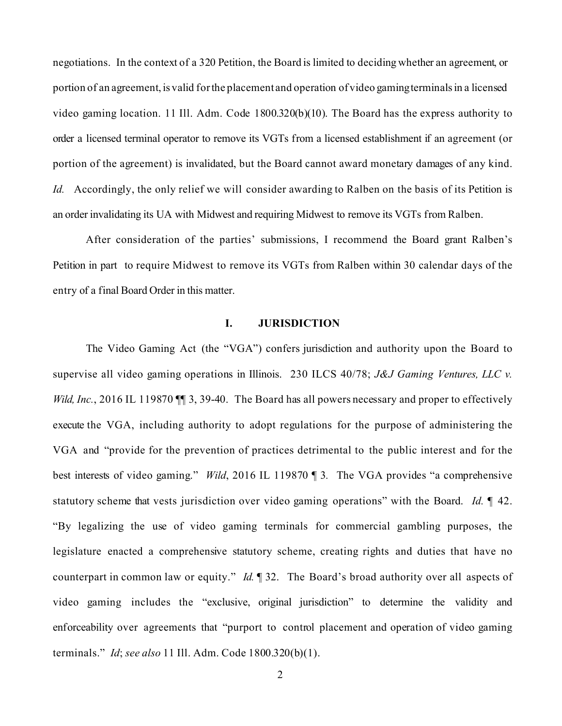negotiations. In the context of a 320 Petition, the Board is limited to deciding whether an agreement, or portion of an agreement, is valid for the placement and operation of video gamingterminals in a licensed video gaming location. 11 Ill. Adm. Code 1800.320(b)(10). The Board has the express authority to order a licensed terminal operator to remove its VGTs from a licensed establishment if an agreement (or portion of the agreement) is invalidated, but the Board cannot award monetary damages of any kind. *Id.* Accordingly, the only relief we will consider awarding to Ralben on the basis of its Petition is an order invalidating its UA with Midwest and requiring Midwest to remove its VGTs from Ralben.

After consideration of the parties' submissions, I recommend the Board grant Ralben's Petition in part to require Midwest to remove its VGTs from Ralben within 30 calendar days of the entry of a final Board Order in this matter.

#### **I. JURISDICTION**

The Video Gaming Act (the "VGA") confers jurisdiction and authority upon the Board to supervise all video gaming operations in Illinois. 230 ILCS 40/78; *J&J Gaming Ventures, LLC v. Wild, Inc.*, 2016 IL 119870 **[16** 3, 39-40. The Board has all powers necessary and proper to effectively execute the VGA, including authority to adopt regulations for the purpose of administering the VGA and "provide for the prevention of practices detrimental to the public interest and for the best interests of video gaming." *Wild*, 2016 IL 119870 ¶ 3*.* The VGA provides "a comprehensive statutory scheme that vests jurisdiction over video gaming operations" with the Board. *Id.* ¶ 42. "By legalizing the use of video gaming terminals for commercial gambling purposes, the legislature enacted a comprehensive statutory scheme, creating rights and duties that have no counterpart in common law or equity." *Id.* ¶ 32. The Board's broad authority over all aspects of video gaming includes the "exclusive, original jurisdiction" to determine the validity and enforceability over agreements that "purport to control placement and operation of video gaming terminals." *Id*; *see also* 11 Ill. Adm. Code 1800.320(b)(1).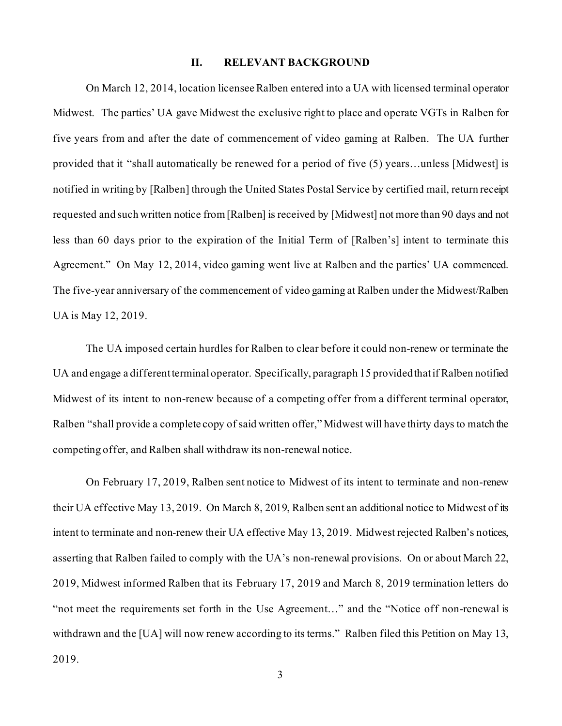### **II. RELEVANT BACKGROUND**

On March 12, 2014, location licensee Ralben entered into a UA with licensed terminal operator Midwest. The parties' UA gave Midwest the exclusive right to place and operate VGTs in Ralben for five years from and after the date of commencement of video gaming at Ralben. The UA further provided that it "shall automatically be renewed for a period of five (5) years…unless [Midwest] is notified in writing by [Ralben] through the United States Postal Service by certified mail, return receipt requested and such written notice from [Ralben] is received by [Midwest] not more than 90 days and not less than 60 days prior to the expiration of the Initial Term of [Ralben's] intent to terminate this Agreement." On May 12, 2014, video gaming went live at Ralben and the parties' UA commenced. The five-year anniversary of the commencement of video gaming at Ralben under the Midwest/Ralben UA is May 12, 2019.

The UA imposed certain hurdles for Ralben to clear before it could non-renew or terminate the UA and engage a different terminal operator. Specifically, paragraph 15 provided that if Ralben notified Midwest of its intent to non-renew because of a competing offer from a different terminal operator, Ralben "shall provide a complete copy of said written offer," Midwest will have thirty days to match the competing offer, and Ralben shall withdraw its non-renewal notice.

On February 17, 2019, Ralben sent notice to Midwest of its intent to terminate and non-renew their UA effective May 13, 2019. On March 8, 2019, Ralben sent an additional notice to Midwest of its intent to terminate and non-renew their UA effective May 13, 2019. Midwest rejected Ralben's notices, asserting that Ralben failed to comply with the UA's non-renewal provisions. On or about March 22, 2019, Midwest informed Ralben that its February 17, 2019 and March 8, 2019 termination letters do "not meet the requirements set forth in the Use Agreement…" and the "Notice off non-renewal is withdrawn and the [UA] will now renew according to its terms." Ralben filed this Petition on May 13, 2019.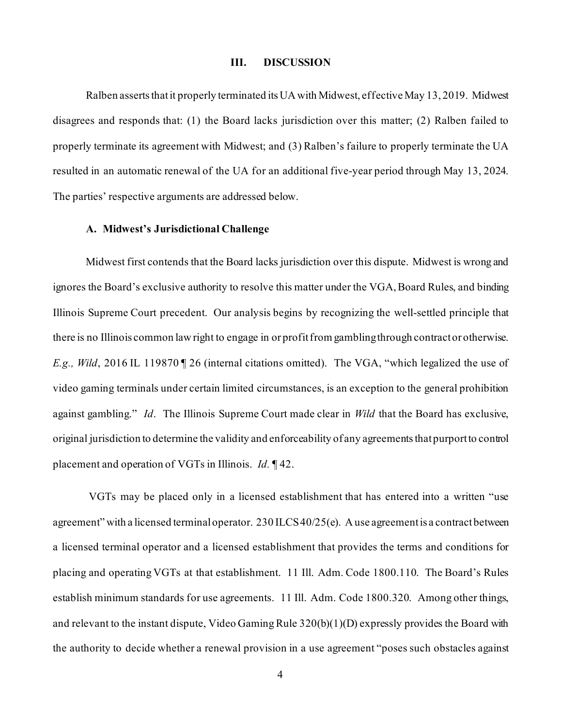#### **III. DISCUSSION**

Ralben asserts that it properly terminated its UA with Midwest, effective May 13, 2019. Midwest disagrees and responds that: (1) the Board lacks jurisdiction over this matter; (2) Ralben failed to properly terminate its agreement with Midwest; and (3) Ralben's failure to properly terminate the UA resulted in an automatic renewal of the UA for an additional five-year period through May 13, 2024. The parties' respective arguments are addressed below.

#### **A. Midwest's Jurisdictional Challenge**

Midwest first contends that the Board lacks jurisdiction over this dispute. Midwest is wrong and ignores the Board's exclusive authority to resolve this matter under the VGA, Board Rules, and binding Illinois Supreme Court precedent. Our analysis begins by recognizing the well-settled principle that there is no Illinois common law right to engage in or profit from gambling through contract or otherwise. *E.g., Wild*, 2016 IL 119870 ¶ 26 (internal citations omitted). The VGA, "which legalized the use of video gaming terminals under certain limited circumstances, is an exception to the general prohibition against gambling." *Id*. The Illinois Supreme Court made clear in *Wild* that the Board has exclusive, original jurisdiction to determine the validity and enforceability of any agreements that purport to control placement and operation of VGTs in Illinois. *Id.* ¶ 42.

VGTs may be placed only in a licensed establishment that has entered into a written "use agreement" with a licensed terminal operator. 230 ILCS 40/25(e). A use agreement is a contract between a licensed terminal operator and a licensed establishment that provides the terms and conditions for placing and operating VGTs at that establishment. 11 Ill. Adm. Code 1800.110. The Board's Rules establish minimum standards for use agreements. 11 Ill. Adm. Code 1800.320. Among other things, and relevant to the instant dispute, Video Gaming Rule 320(b)(1)(D) expressly provides the Board with the authority to decide whether a renewal provision in a use agreement "poses such obstacles against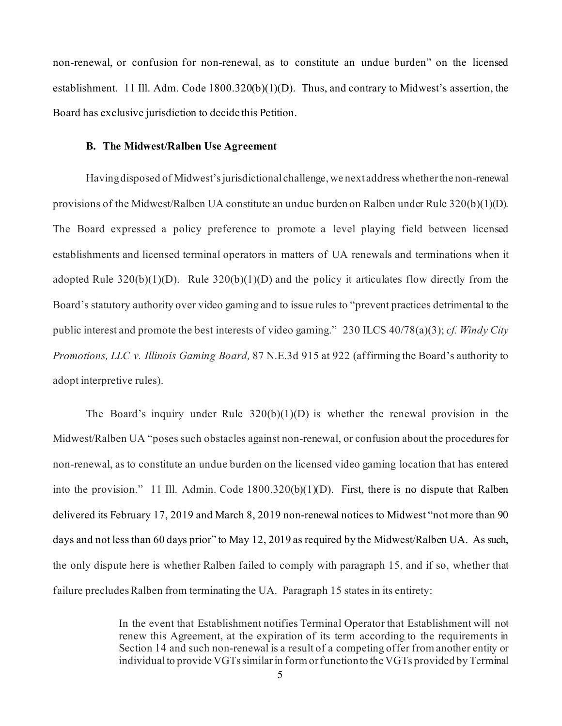non-renewal, or confusion for non-renewal, as to constitute an undue burden" on the licensed establishment. 11 Ill. Adm. Code 1800.320(b)(1)(D). Thus, and contrary to Midwest's assertion, the Board has exclusive jurisdiction to decide this Petition.

### **B. The Midwest/Ralben Use Agreement**

Having disposed of Midwest's jurisdictional challenge, we next address whether the non-renewal provisions of the Midwest/Ralben UA constitute an undue burden on Ralben under Rule 320(b)(1)(D). The Board expressed a policy preference to promote a level playing field between licensed establishments and licensed terminal operators in matters of UA renewals and terminations when it adopted Rule  $320(b)(1)(D)$ . Rule  $320(b)(1)(D)$  and the policy it articulates flow directly from the Board's statutory authority over video gaming and to issue rules to "prevent practices detrimental to the public interest and promote the best interests of video gaming." 230 ILCS 40/78(a)(3); *cf. Windy City Promotions, LLC v. Illinois Gaming Board,* 87 N.E.3d 915 at 922 (affirming the Board's authority to adopt interpretive rules).

The Board's inquiry under Rule  $320(b)(1)(D)$  is whether the renewal provision in the Midwest/Ralben UA "poses such obstacles against non-renewal, or confusion about the procedures for non-renewal, as to constitute an undue burden on the licensed video gaming location that has entered into the provision." 11 Ill. Admin. Code 1800.320(b)(1)(D). First, there is no dispute that Ralben delivered its February 17, 2019 and March 8, 2019 non-renewal notices to Midwest "not more than 90 days and not less than 60 days prior" to May 12, 2019 as required by the Midwest/Ralben UA. As such, the only dispute here is whether Ralben failed to comply with paragraph 15, and if so, whether that failure precludes Ralben from terminating the UA. Paragraph 15 states in its entirety:

> In the event that Establishment notifies Terminal Operator that Establishment will not renew this Agreement, at the expiration of its term according to the requirements in Section 14 and such non-renewal is a result of a competing offer from another entity or individual to provide VGTs similar in form or function to the VGTs provided by Terminal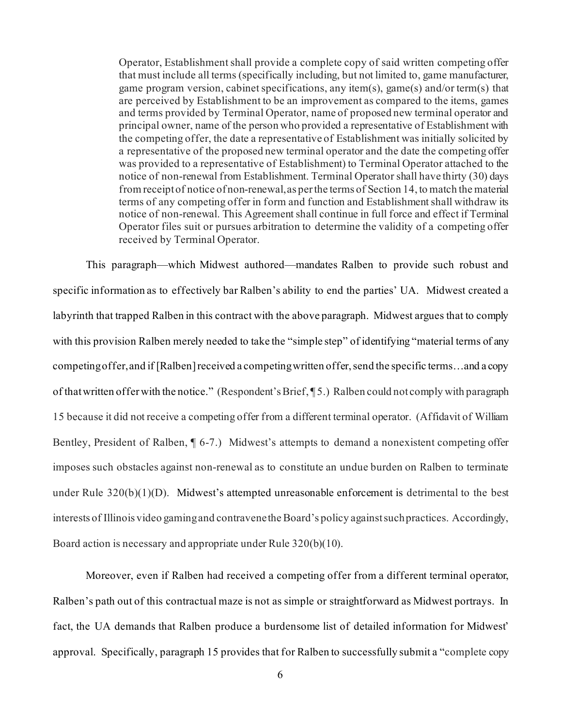Operator, Establishment shall provide a complete copy of said written competing offer that must include all terms (specifically including, but not limited to, game manufacturer, game program version, cabinet specifications, any item(s), game(s) and/or term(s) that are perceived by Establishment to be an improvement as compared to the items, games and terms provided by Terminal Operator, name of proposed new terminal operator and principal owner, name of the person who provided a representative of Establishment with the competing offer, the date a representative of Establishment was initially solicited by a representative of the proposed new terminal operator and the date the competing offer was provided to a representative of Establishment) to Terminal Operator attached to the notice of non-renewal from Establishment. Terminal Operator shall have thirty (30) days from receipt of notice of non-renewal, as per the terms of Section 14, to match the material terms of any competing offer in form and function and Establishment shall withdraw its notice of non-renewal. This Agreement shall continue in full force and effect if Terminal Operator files suit or pursues arbitration to determine the validity of a competing offer received by Terminal Operator.

This paragraph—which Midwest authored—mandates Ralben to provide such robust and specific information as to effectively bar Ralben's ability to end the parties' UA. Midwest created a labyrinth that trapped Ralben in this contract with the above paragraph. Midwest argues that to comply with this provision Ralben merely needed to take the "simple step" of identifying "material terms of any competing offer, and if [Ralben] received a competing written offer, send the specific terms…and a copy of that written offer with the notice." (Respondent's Brief, ¶ 5.) Ralben could not comply with paragraph 15 because it did not receive a competing offer from a different terminal operator. (Affidavit of William Bentley, President of Ralben, ¶ 6-7.) Midwest's attempts to demand a nonexistent competing offer imposes such obstacles against non-renewal as to constitute an undue burden on Ralben to terminate under Rule 320(b)(1)(D). Midwest's attempted unreasonable enforcement is detrimental to the best interests of Illinois video gaming and contravene the Board's policy against such practices. Accordingly, Board action is necessary and appropriate under Rule 320(b)(10).

Moreover, even if Ralben had received a competing offer from a different terminal operator, Ralben's path out of this contractual maze is not as simple or straightforward as Midwest portrays. In fact, the UA demands that Ralben produce a burdensome list of detailed information for Midwest' approval. Specifically, paragraph 15 provides that for Ralben to successfully submit a "complete copy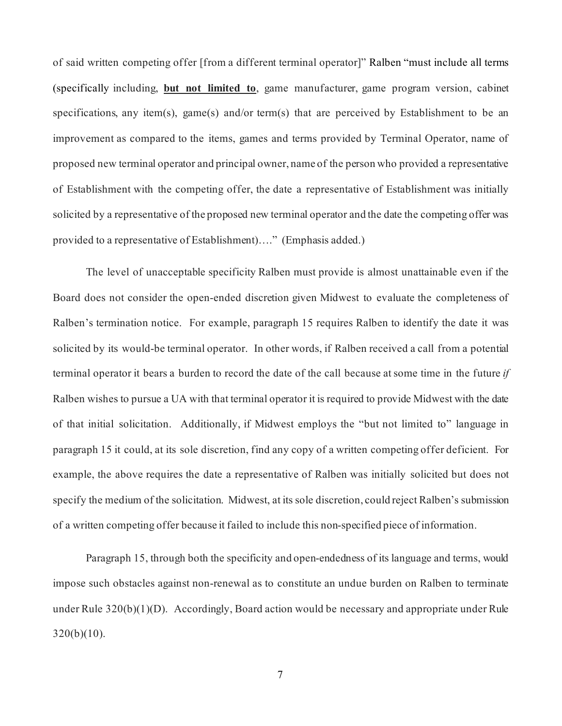of said written competing offer [from a different terminal operator]" Ralben "must include all terms (specifically including, **but not limited to**, game manufacturer, game program version, cabinet specifications, any item(s), game(s) and/or term(s) that are perceived by Establishment to be an improvement as compared to the items, games and terms provided by Terminal Operator, name of proposed new terminal operator and principal owner, name of the person who provided a representative of Establishment with the competing offer, the date a representative of Establishment was initially solicited by a representative of the proposed new terminal operator and the date the competing offer was provided to a representative of Establishment)…." (Emphasis added.)

The level of unacceptable specificity Ralben must provide is almost unattainable even if the Board does not consider the open-ended discretion given Midwest to evaluate the completeness of Ralben's termination notice. For example, paragraph 15 requires Ralben to identify the date it was solicited by its would-be terminal operator. In other words, if Ralben received a call from a potential terminal operator it bears a burden to record the date of the call because at some time in the future *if* Ralben wishes to pursue a UA with that terminal operator it is required to provide Midwest with the date of that initial solicitation. Additionally, if Midwest employs the "but not limited to" language in paragraph 15 it could, at its sole discretion, find any copy of a written competing offer deficient. For example, the above requires the date a representative of Ralben was initially solicited but does not specify the medium of the solicitation. Midwest, at its sole discretion, could reject Ralben's submission of a written competing offer because it failed to include this non-specified piece of information.

Paragraph 15, through both the specificity and open-endedness of its language and terms, would impose such obstacles against non-renewal as to constitute an undue burden on Ralben to terminate under Rule 320(b)(1)(D). Accordingly, Board action would be necessary and appropriate under Rule  $320(b)(10)$ .